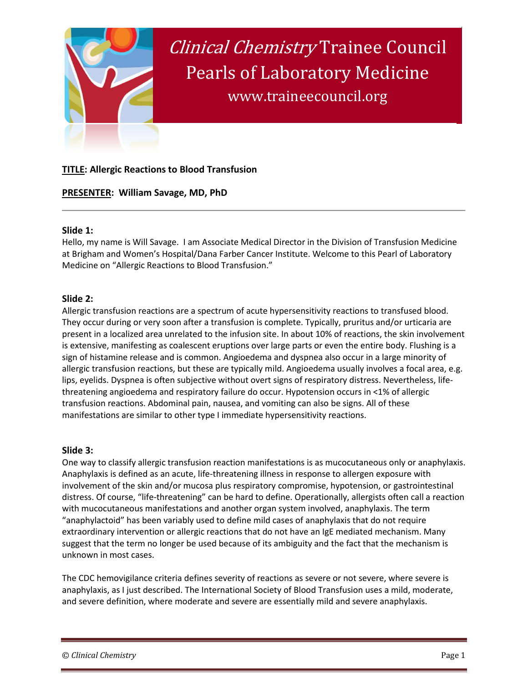

# **TITLE: Allergic Reactions to Blood Transfusion**

# **PRESENTER: William Savage, MD, PhD**

## **Slide 1:**

Hello, my name is Will Savage. I am Associate Medical Director in the Division of Transfusion Medicine at Brigham and Women's Hospital/Dana Farber Cancer Institute. Welcome to this Pearl of Laboratory Medicine on "Allergic Reactions to Blood Transfusion."

## **Slide 2:**

Allergic transfusion reactions are a spectrum of acute hypersensitivity reactions to transfused blood. They occur during or very soon after a transfusion is complete. Typically, pruritus and/or urticaria are present in a localized area unrelated to the infusion site. In about 10% of reactions, the skin involvement is extensive, manifesting as coalescent eruptions over large parts or even the entire body. Flushing is a sign of histamine release and is common. Angioedema and dyspnea also occur in a large minority of allergic transfusion reactions, but these are typically mild. Angioedema usually involves a focal area, e.g. lips, eyelids. Dyspnea is often subjective without overt signs of respiratory distress. Nevertheless, lifethreatening angioedema and respiratory failure do occur. Hypotension occurs in <1% of allergic transfusion reactions. Abdominal pain, nausea, and vomiting can also be signs. All of these manifestations are similar to other type I immediate hypersensitivity reactions.

## **Slide 3:**

One way to classify allergic transfusion reaction manifestations is as mucocutaneous only or anaphylaxis. Anaphylaxis is defined as an acute, life-threatening illness in response to allergen exposure with involvement of the skin and/or mucosa plus respiratory compromise, hypotension, or gastrointestinal distress. Of course, "life-threatening" can be hard to define. Operationally, allergists often call a reaction with mucocutaneous manifestations and another organ system involved, anaphylaxis. The term "anaphylactoid" has been variably used to define mild cases of anaphylaxis that do not require extraordinary intervention or allergic reactions that do not have an IgE mediated mechanism. Many suggest that the term no longer be used because of its ambiguity and the fact that the mechanism is unknown in most cases.

The CDC hemovigilance criteria defines severity of reactions as severe or not severe, where severe is anaphylaxis, as I just described. The International Society of Blood Transfusion uses a mild, moderate, and severe definition, where moderate and severe are essentially mild and severe anaphylaxis.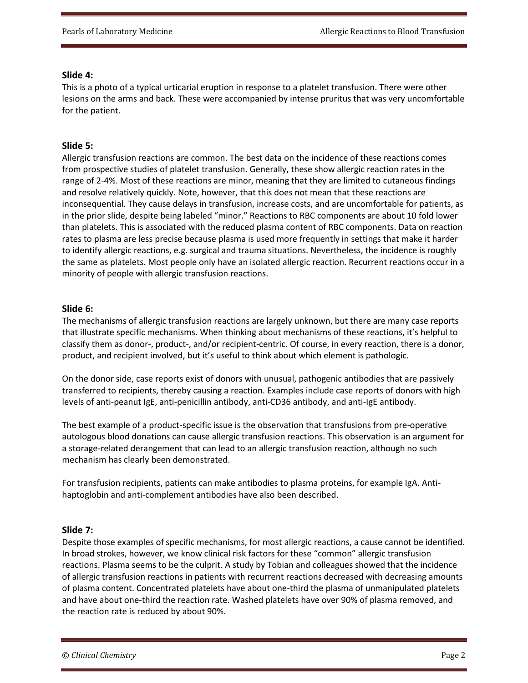#### **Slide 4:**

This is a photo of a typical urticarial eruption in response to a platelet transfusion. There were other lesions on the arms and back. These were accompanied by intense pruritus that was very uncomfortable for the patient.

#### **Slide 5:**

Allergic transfusion reactions are common. The best data on the incidence of these reactions comes from prospective studies of platelet transfusion. Generally, these show allergic reaction rates in the range of 2-4%. Most of these reactions are minor, meaning that they are limited to cutaneous findings and resolve relatively quickly. Note, however, that this does not mean that these reactions are inconsequential. They cause delays in transfusion, increase costs, and are uncomfortable for patients, as in the prior slide, despite being labeled "minor." Reactions to RBC components are about 10 fold lower than platelets. This is associated with the reduced plasma content of RBC components. Data on reaction rates to plasma are less precise because plasma is used more frequently in settings that make it harder to identify allergic reactions, e.g. surgical and trauma situations. Nevertheless, the incidence is roughly the same as platelets. Most people only have an isolated allergic reaction. Recurrent reactions occur in a minority of people with allergic transfusion reactions.

#### **Slide 6:**

The mechanisms of allergic transfusion reactions are largely unknown, but there are many case reports that illustrate specific mechanisms. When thinking about mechanisms of these reactions, it's helpful to classify them as donor-, product-, and/or recipient-centric. Of course, in every reaction, there is a donor, product, and recipient involved, but it's useful to think about which element is pathologic.

On the donor side, case reports exist of donors with unusual, pathogenic antibodies that are passively transferred to recipients, thereby causing a reaction. Examples include case reports of donors with high levels of anti-peanut IgE, anti-penicillin antibody, anti-CD36 antibody, and anti-IgE antibody.

The best example of a product-specific issue is the observation that transfusions from pre-operative autologous blood donations can cause allergic transfusion reactions. This observation is an argument for a storage-related derangement that can lead to an allergic transfusion reaction, although no such mechanism has clearly been demonstrated.

For transfusion recipients, patients can make antibodies to plasma proteins, for example IgA. Antihaptoglobin and anti-complement antibodies have also been described.

## **Slide 7:**

Despite those examples of specific mechanisms, for most allergic reactions, a cause cannot be identified. In broad strokes, however, we know clinical risk factors for these "common" allergic transfusion reactions. Plasma seems to be the culprit. A study by Tobian and colleagues showed that the incidence of allergic transfusion reactions in patients with recurrent reactions decreased with decreasing amounts of plasma content. Concentrated platelets have about one-third the plasma of unmanipulated platelets and have about one-third the reaction rate. Washed platelets have over 90% of plasma removed, and the reaction rate is reduced by about 90%.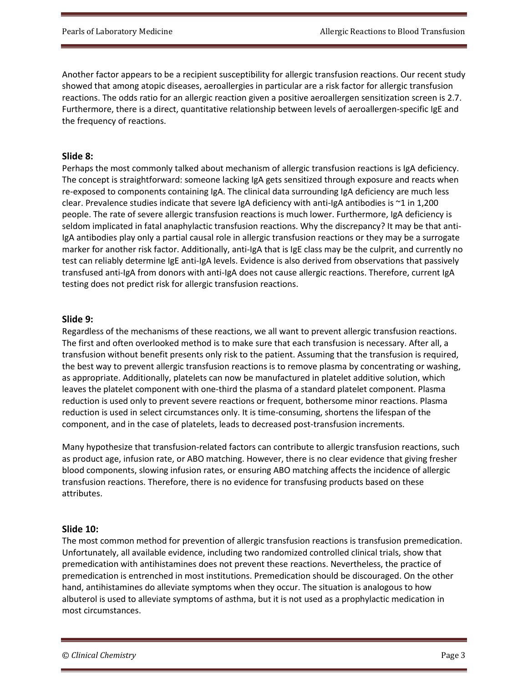Another factor appears to be a recipient susceptibility for allergic transfusion reactions. Our recent study showed that among atopic diseases, aeroallergies in particular are a risk factor for allergic transfusion reactions. The odds ratio for an allergic reaction given a positive aeroallergen sensitization screen is 2.7. Furthermore, there is a direct, quantitative relationship between levels of aeroallergen-specific IgE and the frequency of reactions.

## **Slide 8:**

Perhaps the most commonly talked about mechanism of allergic transfusion reactions is IgA deficiency. The concept is straightforward: someone lacking IgA gets sensitized through exposure and reacts when re-exposed to components containing IgA. The clinical data surrounding IgA deficiency are much less clear. Prevalence studies indicate that severe IgA deficiency with anti-IgA antibodies is  $\sim$ 1 in 1,200 people. The rate of severe allergic transfusion reactions is much lower. Furthermore, IgA deficiency is seldom implicated in fatal anaphylactic transfusion reactions. Why the discrepancy? It may be that anti-IgA antibodies play only a partial causal role in allergic transfusion reactions or they may be a surrogate marker for another risk factor. Additionally, anti-IgA that is IgE class may be the culprit, and currently no test can reliably determine IgE anti-IgA levels. Evidence is also derived from observations that passively transfused anti-IgA from donors with anti-IgA does not cause allergic reactions. Therefore, current IgA testing does not predict risk for allergic transfusion reactions.

## **Slide 9:**

Regardless of the mechanisms of these reactions, we all want to prevent allergic transfusion reactions. The first and often overlooked method is to make sure that each transfusion is necessary. After all, a transfusion without benefit presents only risk to the patient. Assuming that the transfusion is required, the best way to prevent allergic transfusion reactions is to remove plasma by concentrating or washing, as appropriate. Additionally, platelets can now be manufactured in platelet additive solution, which leaves the platelet component with one-third the plasma of a standard platelet component. Plasma reduction is used only to prevent severe reactions or frequent, bothersome minor reactions. Plasma reduction is used in select circumstances only. It is time-consuming, shortens the lifespan of the component, and in the case of platelets, leads to decreased post-transfusion increments.

Many hypothesize that transfusion-related factors can contribute to allergic transfusion reactions, such as product age, infusion rate, or ABO matching. However, there is no clear evidence that giving fresher blood components, slowing infusion rates, or ensuring ABO matching affects the incidence of allergic transfusion reactions. Therefore, there is no evidence for transfusing products based on these attributes.

## **Slide 10:**

The most common method for prevention of allergic transfusion reactions is transfusion premedication. Unfortunately, all available evidence, including two randomized controlled clinical trials, show that premedication with antihistamines does not prevent these reactions. Nevertheless, the practice of premedication is entrenched in most institutions. Premedication should be discouraged. On the other hand, antihistamines do alleviate symptoms when they occur. The situation is analogous to how albuterol is used to alleviate symptoms of asthma, but it is not used as a prophylactic medication in most circumstances.